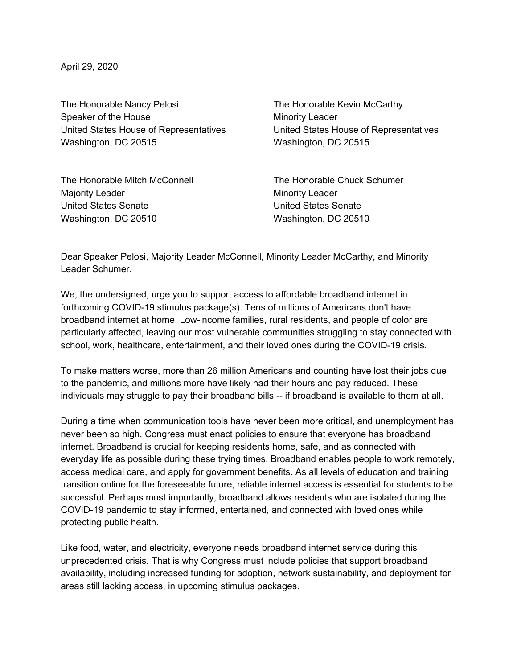April 29, 2020

The Honorable Nancy Pelosi **The Honorable Kevin McCarthy** Speaker of the House Minority Leader United States House of Representatives United States House of Representatives Washington, DC 20515 Washington, DC 20515

The Honorable Mitch McConnell The Honorable Chuck Schumer Majority Leader **Minority Leader** Minority Leader United States Senate United States Senate Washington, DC 20510 Washington, DC 20510

Dear Speaker Pelosi, Majority Leader McConnell, Minority Leader McCarthy, and Minority Leader Schumer,

We, the undersigned, urge you to support access to affordable broadband internet in forthcoming COVID-19 stimulus package(s). Tens of millions of Americans don't have broadband internet at home. Low-income families, rural residents, and people of color are particularly affected, leaving our most vulnerable communities struggling to stay connected with school, work, healthcare, entertainment, and their loved ones during the COVID-19 crisis.

To make matters worse, more than 26 million Americans and counting have lost their jobs due to the pandemic, and millions more have likely had their hours and pay reduced. These individuals may struggle to pay their broadband bills -- if broadband is available to them at all.

During a time when communication tools have never been more critical, and unemployment has never been so high, Congress must enact policies to ensure that everyone has broadband internet. Broadband is crucial for keeping residents home, safe, and as connected with everyday life as possible during these trying times. Broadband enables people to work remotely, access medical care, and apply for government benefits. As all levels of education and training transition online for the foreseeable future, reliable internet access is essential for students to be successful. Perhaps most importantly, broadband allows residents who are isolated during the COVID-19 pandemic to stay informed, entertained, and connected with loved ones while protecting public health.

Like food, water, and electricity, everyone needs broadband internet service during this unprecedented crisis. That is why Congress must include policies that support broadband availability, including increased funding for adoption, network sustainability, and deployment for areas still lacking access, in upcoming stimulus packages.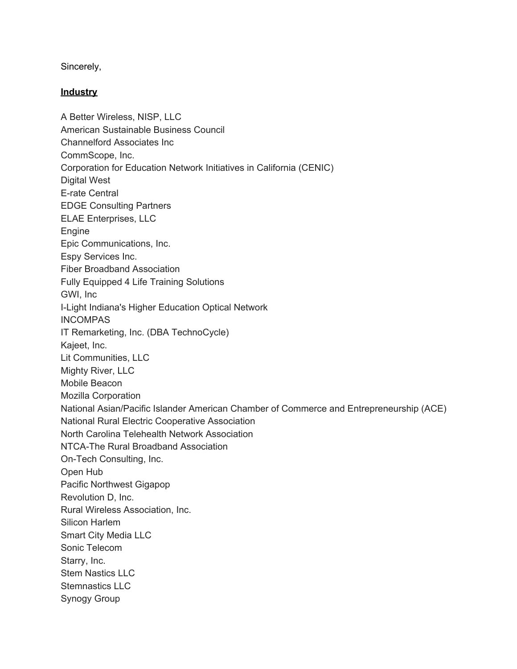Sincerely,

## **Industry**

A Better Wireless, NISP, LLC American Sustainable Business Council Channelford Associates Inc CommScope, Inc. Corporation for Education Network Initiatives in California (CENIC) Digital West E-rate Central EDGE Consulting Partners ELAE Enterprises, LLC Engine Epic Communications, Inc. Espy Services Inc. Fiber Broadband Association Fully Equipped 4 Life Training Solutions GWI, Inc I-Light Indiana's Higher Education Optical Network INCOMPAS IT Remarketing, Inc. (DBA TechnoCycle) Kajeet, Inc. Lit Communities, LLC Mighty River, LLC Mobile Beacon Mozilla Corporation National Asian/Pacific Islander American Chamber of Commerce and Entrepreneurship (ACE) National Rural Electric Cooperative Association North Carolina Telehealth Network Association NTCA-The Rural Broadband Association On-Tech Consulting, Inc. Open Hub Pacific Northwest Gigapop Revolution D, Inc. Rural Wireless Association, Inc. Silicon Harlem Smart City Media LLC Sonic Telecom Starry, Inc. Stem Nastics LLC Stemnastics LLC Synogy Group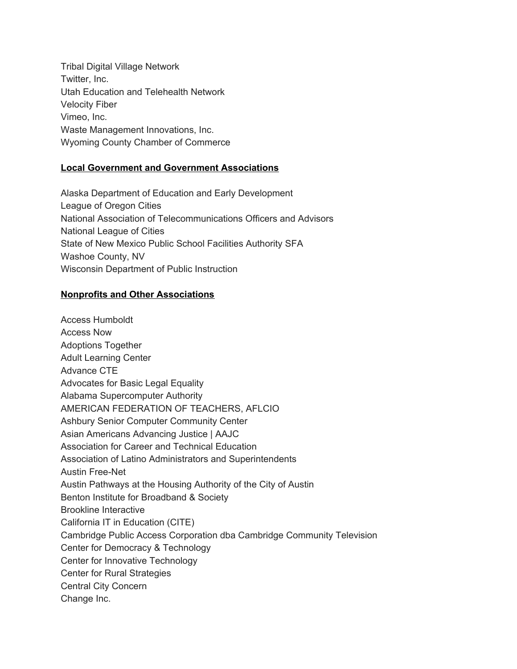Tribal Digital Village Network Twitter, Inc. Utah Education and Telehealth Network Velocity Fiber Vimeo, Inc. Waste Management Innovations, Inc. Wyoming County Chamber of Commerce

## **Local Government and Government Associations**

Alaska Department of Education and Early Development League of Oregon Cities National Association of Telecommunications Officers and Advisors National League of Cities State of New Mexico Public School Facilities Authority SFA Washoe County, NV Wisconsin Department of Public Instruction

## **Nonprofits and Other Associations**

Access Humboldt Access Now Adoptions Together Adult Learning Center Advance CTE Advocates for Basic Legal Equality Alabama Supercomputer Authority AMERICAN FEDERATION OF TEACHERS, AFLCIO Ashbury Senior Computer Community Center Asian Americans Advancing Justice | AAJC Association for Career and Technical Education Association of Latino Administrators and Superintendents Austin Free-Net Austin Pathways at the Housing Authority of the City of Austin Benton Institute for Broadband & Society Brookline Interactive California IT in Education (CITE) Cambridge Public Access Corporation dba Cambridge Community Television Center for Democracy & Technology Center for Innovative Technology Center for Rural Strategies Central City Concern Change Inc.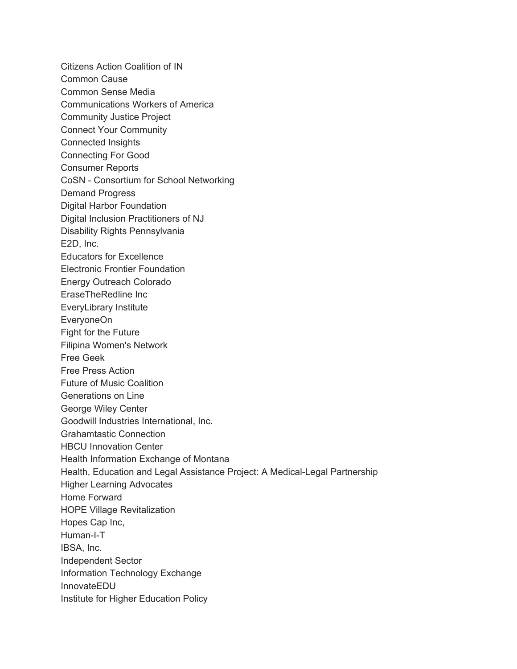Citizens Action Coalition of IN Common Cause Common Sense Media Communications Workers of America Community Justice Project Connect Your Community Connected Insights Connecting For Good Consumer Reports CoSN - Consortium for School Networking Demand Progress Digital Harbor Foundation Digital Inclusion Practitioners of NJ Disability Rights Pennsylvania E2D, Inc. Educators for Excellence Electronic Frontier Foundation Energy Outreach Colorado EraseTheRedline Inc EveryLibrary Institute EveryoneOn Fight for the Future Filipina Women's Network Free Geek Free Press Action Future of Music Coalition Generations on Line George Wiley Center Goodwill Industries International, Inc. Grahamtastic Connection HBCU Innovation Center Health Information Exchange of Montana Health, Education and Legal Assistance Project: A Medical-Legal Partnership Higher Learning Advocates Home Forward HOPE Village Revitalization Hopes Cap Inc, Human-I-T IBSA, Inc. Independent Sector Information Technology Exchange InnovateEDU Institute for Higher Education Policy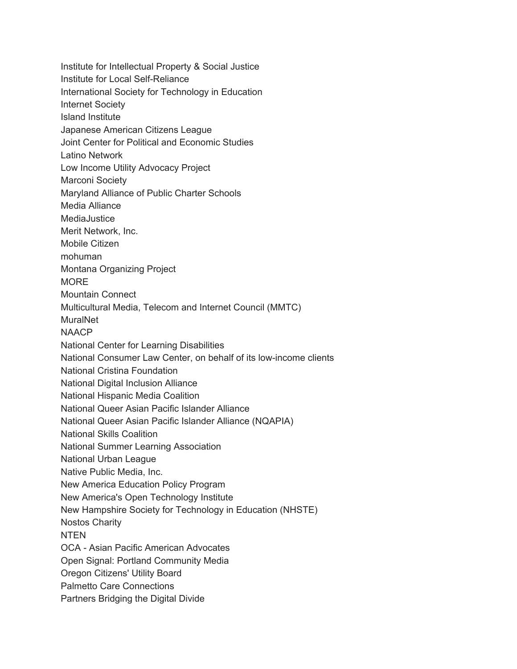Institute for Intellectual Property & Social Justice Institute for Local Self-Reliance International Society for Technology in Education Internet Society Island Institute Japanese American Citizens League Joint Center for Political and Economic Studies Latino Network Low Income Utility Advocacy Project Marconi Society Maryland Alliance of Public Charter Schools Media Alliance MediaJustice Merit Network, Inc. Mobile Citizen mohuman Montana Organizing Project **MORE** Mountain Connect Multicultural Media, Telecom and Internet Council (MMTC) MuralNet **NAACP** National Center for Learning Disabilities National Consumer Law Center, on behalf of its low-income clients National Cristina Foundation National Digital Inclusion Alliance National Hispanic Media Coalition National Queer Asian Pacific Islander Alliance National Queer Asian Pacific Islander Alliance (NQAPIA) National Skills Coalition National Summer Learning Association National Urban League Native Public Media, Inc. New America Education Policy Program New America's Open Technology Institute New Hampshire Society for Technology in Education (NHSTE) Nostos Charity **NTEN** OCA - Asian Pacific American Advocates Open Signal: Portland Community Media Oregon Citizens' Utility Board Palmetto Care Connections Partners Bridging the Digital Divide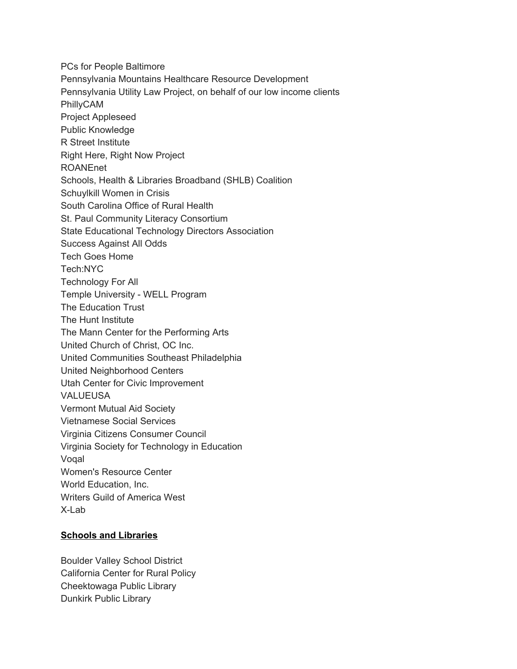PCs for People Baltimore Pennsylvania Mountains Healthcare Resource Development Pennsylvania Utility Law Project, on behalf of our low income clients PhillyCAM Project Appleseed Public Knowledge R Street Institute Right Here, Right Now Project ROANEnet Schools, Health & Libraries Broadband (SHLB) Coalition Schuylkill Women in Crisis South Carolina Office of Rural Health St. Paul Community Literacy Consortium State Educational Technology Directors Association Success Against All Odds Tech Goes Home Tech:NYC Technology For All Temple University - WELL Program The Education Trust The Hunt Institute The Mann Center for the Performing Arts United Church of Christ, OC Inc. United Communities Southeast Philadelphia United Neighborhood Centers Utah Center for Civic Improvement VALUEUSA Vermont Mutual Aid Society Vietnamese Social Services Virginia Citizens Consumer Council Virginia Society for Technology in Education Voqal Women's Resource Center World Education, Inc. Writers Guild of America West X-Lab

## **Schools and Libraries**

Boulder Valley School District California Center for Rural Policy Cheektowaga Public Library Dunkirk Public Library